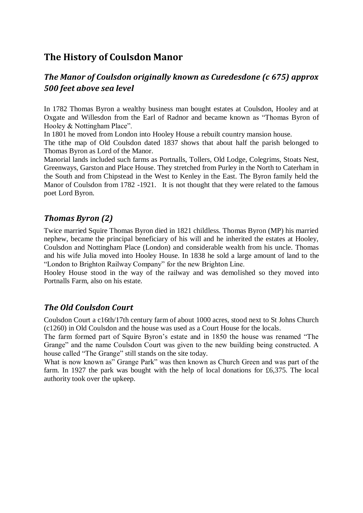# **The History of Coulsdon Manor**

# *The Manor of Coulsdon originally known as Curedesdone (c 675) approx 500 feet above sea level*

In 1782 Thomas Byron a wealthy business man bought estates at Coulsdon, Hooley and at Oxgate and Willesdon from the Earl of Radnor and became known as "Thomas Byron of Hooley & Nottingham Place".

In 1801 he moved from London into Hooley House a rebuilt country mansion house.

The tithe map of Old Coulsdon dated 1837 shows that about half the parish belonged to Thomas Byron as Lord of the Manor.

Manorial lands included such farms as Portnalls, Tollers, Old Lodge, Colegrims, Stoats Nest, Greenways, Garston and Place House. They stretched from Purley in the North to Caterham in the South and from Chipstead in the West to Kenley in the East. The Byron family held the Manor of Coulsdon from 1782 -1921. It is not thought that they were related to the famous poet Lord Byron.

# *Thomas Byron (2)*

Twice married Squire Thomas Byron died in 1821 childless. Thomas Byron (MP) his married nephew, became the principal beneficiary of his will and he inherited the estates at Hooley, Coulsdon and Nottingham Place (London) and considerable wealth from his uncle. Thomas and his wife Julia moved into Hooley House. In 1838 he sold a large amount of land to the "London to Brighton Railway Company" for the new Brighton Line.

Hooley House stood in the way of the railway and was demolished so they moved into Portnalls Farm, also on his estate.

# *The Old Coulsdon Court*

Coulsdon Court a c16th/17th century farm of about 1000 acres, stood next to St Johns Church (c1260) in Old Coulsdon and the house was used as a Court House for the locals.

The farm formed part of Squire Byron's estate and in 1850 the house was renamed "The Grange" and the name Coulsdon Court was given to the new building being constructed. A house called "The Grange" still stands on the site today.

What is now known as" Grange Park" was then known as Church Green and was part of the farm. In 1927 the park was bought with the help of local donations for £6,375. The local authority took over the upkeep.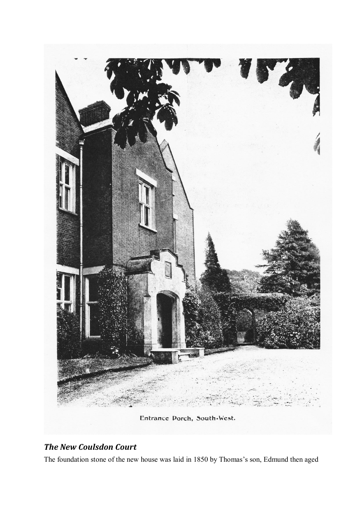

# *The New Coulsdon Court*

The foundation stone of the new house was laid in 1850 by Thomas's son, Edmund then aged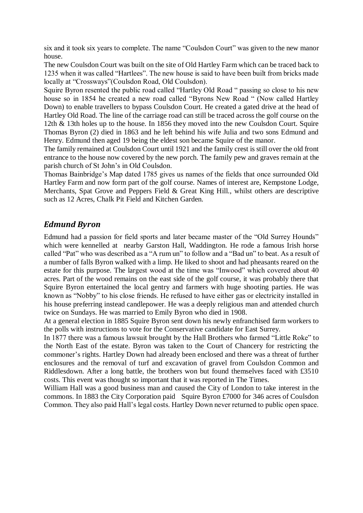six and it took six years to complete. The name "Coulsdon Court" was given to the new manor house.

The new Coulsdon Court was built on the site of Old Hartley Farm which can be traced back to 1235 when it was called "Hartlees". The new house is said to have been built from bricks made locally at "Crossways"(Coulsdon Road, Old Coulsdon).

Squire Byron resented the public road called "Hartley Old Road " passing so close to his new house so in 1854 he created a new road called "Byrons New Road " (Now called Hartley Down) to enable travellers to bypass Coulsdon Court. He created a gated drive at the head of Hartley Old Road. The line of the carriage road can still be traced across the golf course on the 12th & 13th holes up to the house. In 1856 they moved into the new Coulsdon Court. Squire Thomas Byron (2) died in 1863 and he left behind his wife Julia and two sons Edmund and Henry. Edmund then aged 19 being the eldest son became Squire of the manor.

The family remained at Coulsdon Court until 1921 and the family crest is still over the old front entrance to the house now covered by the new porch. The family pew and graves remain at the parish church of St John's in Old Coulsdon.

Thomas Bainbridge's Map dated 1785 gives us names of the fields that once surrounded Old Hartley Farm and now form part of the golf course. Names of interest are, Kempstone Lodge, Merchants, Spat Grove and Peppers Field & Great King Hill., whilst others are descriptive such as 12 Acres, Chalk Pit Field and Kitchen Garden.

# *Edmund Byron*

Edmund had a passion for field sports and later became master of the "Old Surrey Hounds" which were kennelled at nearby Garston Hall, Waddington. He rode a famous Irish horse called "Pat" who was described as a "A rum un" to follow and a "Bad un" to beat. As a result of a number of falls Byron walked with a limp. He liked to shoot and had pheasants reared on the estate for this purpose. The largest wood at the time was "Inwood" which covered about 40 acres. Part of the wood remains on the east side of the golf course, it was probably there that Squire Byron entertained the local gentry and farmers with huge shooting parties. He was known as "Nobby" to his close friends. He refused to have either gas or electricity installed in his house preferring instead candlepower. He was a deeply religious man and attended church twice on Sundays. He was married to Emily Byron who died in 1908.

At a general election in 1885 Squire Byron sent down his newly enfranchised farm workers to the polls with instructions to vote for the Conservative candidate for East Surrey.

In 1877 there was a famous lawsuit brought by the Hall Brothers who farmed "Little Roke" to the North East of the estate. Byron was taken to the Court of Chancery for restricting the commoner's rights. Hartley Down had already been enclosed and there was a threat of further enclosures and the removal of turf and excavation of gravel from Coulsdon Common and Riddlesdown. After a long battle, the brothers won but found themselves faced with £3510 costs. This event was thought so important that it was reported in The Times.

William Hall was a good business man and caused the City of London to take interest in the commons. In 1883 the City Corporation paid Squire Byron £7000 for 346 acres of Coulsdon Common. They also paid Hall's legal costs. Hartley Down never returned to public open space.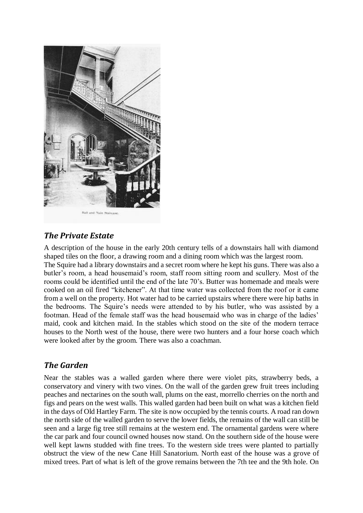

# *The Private Estate*

A description of the house in the early 20th century tells of a downstairs hall with diamond shaped tiles on the floor, a drawing room and a dining room which was the largest room. The Squire had a library downstairs and a secret room where he kept his guns. There was also a butler's room, a head housemaid's room, staff room sitting room and scullery. Most of the rooms could be identified until the end of the late 70's. Butter was homemade and meals were cooked on an oil fired "kitchener". At that time water was collected from the roof or it came from a well on the property. Hot water had to be carried upstairs where there were hip baths in the bedrooms. The Squire's needs were attended to by his butler, who was assisted by a footman. Head of the female staff was the head housemaid who was in charge of the ladies' maid, cook and kitchen maid. In the stables which stood on the site of the modern terrace houses to the North west of the house, there were two hunters and a four horse coach which were looked after by the groom. There was also a coachman.

### *The Garden*

Near the stables was a walled garden where there were violet pits, strawberry beds, a conservatory and vinery with two vines. On the wall of the garden grew fruit trees including peaches and nectarines on the south wall, plums on the east, morrello cherries on the north and figs and pears on the west walls. This walled garden had been built on what was a kitchen field in the days of Old Hartley Farm. The site is now occupied by the tennis courts. A road ran down the north side of the walled garden to serve the lower fields, the remains of the wall can still be seen and a large fig tree still remains at the western end. The ornamental gardens were where the car park and four council owned houses now stand. On the southern side of the house were well kept lawns studded with fine trees. To the western side trees were planted to partially obstruct the view of the new Cane Hill Sanatorium. North east of the house was a grove of mixed trees. Part of what is left of the grove remains between the 7th tee and the 9th hole. On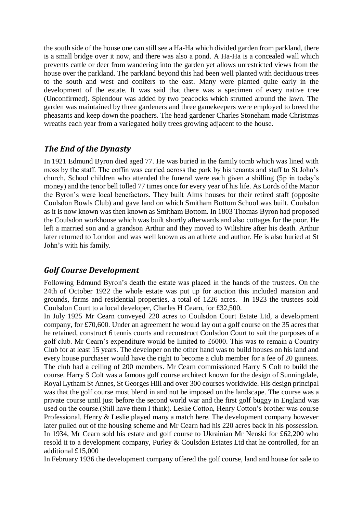the south side of the house one can still see a Ha-Ha which divided garden from parkland, there is a small bridge over it now, and there was also a pond. A Ha-Ha is a concealed wall which prevents cattle or deer from wandering into the garden yet allows unrestricted views from the house over the parkland. The parkland beyond this had been well planted with deciduous trees to the south and west and conifers to the east. Many were planted quite early in the development of the estate. It was said that there was a specimen of every native tree (Unconfirmed). Splendour was added by two peacocks which strutted around the lawn. The garden was maintained by three gardeners and three gamekeepers were employed to breed the pheasants and keep down the poachers. The head gardener Charles Stoneham made Christmas wreaths each year from a variegated holly trees growing adjacent to the house.

# *The End of the Dynasty*

In 1921 Edmund Byron died aged 77. He was buried in the family tomb which was lined with moss by the staff. The coffin was carried across the park by his tenants and staff to St John's church. School children who attended the funeral were each given a shilling (5p in today's money) and the tenor bell tolled 77 times once for every year of his life. As Lords of the Manor the Byron's were local benefactors. They built Alms houses for their retired staff (opposite Coulsdon Bowls Club) and gave land on which Smitham Bottom School was built. Coulsdon as it is now known was then known as Smitham Bottom. In 1803 Thomas Byron had proposed the Coulsdon workhouse which was built shortly afterwards and also cottages for the poor. He left a married son and a grandson Arthur and they moved to Wiltshire after his death. Arthur later returned to London and was well known as an athlete and author. He is also buried at St John's with his family.

### *Golf Course Development*

Following Edmund Byron's death the estate was placed in the hands of the trustees. On the 24th of October 1922 the whole estate was put up for auction this included mansion and grounds, farms and residential properties, a total of 1226 acres. In 1923 the trustees sold Coulsdon Court to a local developer, Charles H Cearn, for £32,500.

In July 1925 Mr Cearn conveyed 220 acres to Coulsdon Court Estate Ltd, a development company, for £70,600. Under an agreement he would lay out a golf course on the 35 acres that he retained, construct 6 tennis courts and reconstruct Coulsdon Court to suit the purposes of a golf club. Mr Cearn's expenditure would be limited to £6000. This was to remain a Country Club for at least 15 years. The developer on the other hand was to build houses on his land and every house purchaser would have the right to become a club member for a fee of 20 guineas. The club had a ceiling of 200 members. Mr Cearn commissioned Harry S Colt to build the course. Harry S Colt was a famous golf course architect known for the design of Sunningdale, Royal Lytham St Annes, St Georges Hill and over 300 courses worldwide. His design principal was that the golf course must blend in and not be imposed on the landscape. The course was a private course until just before the second world war and the first golf buggy in England was used on the course.(Still have them I think). Leslie Cotton, Henry Cotton's brother was course Professional. Henry & Leslie played many a match here. The development company however later pulled out of the housing scheme and Mr Cearn had his 220 acres back in his possession. In 1934, Mr Cearn sold his estate and golf course to Ukrainian Mr Nenski for £62,200 who resold it to a development company, Purley & Coulsdon Estates Ltd that he controlled, for an additional £15,000

In February 1936 the development company offered the golf course, land and house for sale to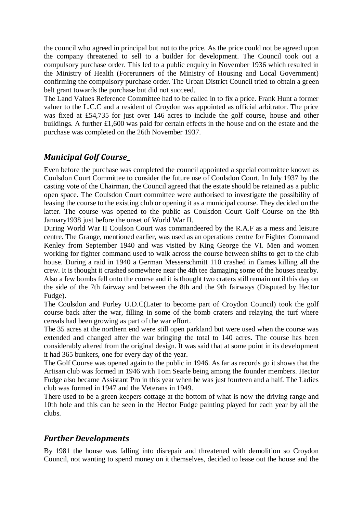the council who agreed in principal but not to the price. As the price could not be agreed upon the company threatened to sell to a builder for development. The Council took out a compulsory purchase order. This led to a public enquiry in November 1936 which resulted in the Ministry of Health (Forerunners of the Ministry of Housing and Local Government) confirming the compulsory purchase order. The Urban District Council tried to obtain a green belt grant towards the purchase but did not succeed.

The Land Values Reference Committee had to be called in to fix a price. Frank Hunt a former valuer to the L.C.C and a resident of Croydon was appointed as official arbitrator. The price was fixed at £54,735 for just over 146 acres to include the golf course, house and other buildings. A further £1,600 was paid for certain effects in the house and on the estate and the purchase was completed on the 26th November 1937.

# *Municipal Golf Course\_*

Even before the purchase was completed the council appointed a special committee known as Coulsdon Court Committee to consider the future use of Coulsdon Court. In July 1937 by the casting vote of the Chairman, the Council agreed that the estate should be retained as a public open space. The Coulsdon Court committee were authorised to investigate the possibility of leasing the course to the existing club or opening it as a municipal course. They decided on the latter. The course was opened to the public as Coulsdon Court Golf Course on the 8th January1938 just before the onset of World War II.

During World War II Coulson Court was commandeered by the R.A.F as a mess and leisure centre. The Grange, mentioned earlier, was used as an operations centre for Fighter Command Kenley from September 1940 and was visited by King George the VI. Men and women working for fighter command used to walk across the course between shifts to get to the club house. During a raid in 1940 a German Messerschmitt 110 crashed in flames killing all the crew. It is thought it crashed somewhere near the 4th tee damaging some of the houses nearby. Also a few bombs fell onto the course and it is thought two craters still remain until this day on the side of the 7th fairway and between the 8th and the 9th fairways (Disputed by Hector Fudge).

The Coulsdon and Purley U.D.C(Later to become part of Croydon Council) took the golf course back after the war, filling in some of the bomb craters and relaying the turf where cereals had been growing as part of the war effort.

The 35 acres at the northern end were still open parkland but were used when the course was extended and changed after the war bringing the total to 140 acres. The course has been considerably altered from the original design. It was said that at some point in its development it had 365 bunkers, one for every day of the year.

The Golf Course was opened again to the public in 1946. As far as records go it shows that the Artisan club was formed in 1946 with Tom Searle being among the founder members. Hector Fudge also became Assistant Pro in this year when he was just fourteen and a half. The Ladies club was formed in 1947 and the Veterans in 1949.

There used to be a green keepers cottage at the bottom of what is now the driving range and 10th hole and this can be seen in the Hector Fudge painting played for each year by all the clubs.

# *Further Developments*

By 1981 the house was falling into disrepair and threatened with demolition so Croydon Council, not wanting to spend money on it themselves, decided to lease out the house and the